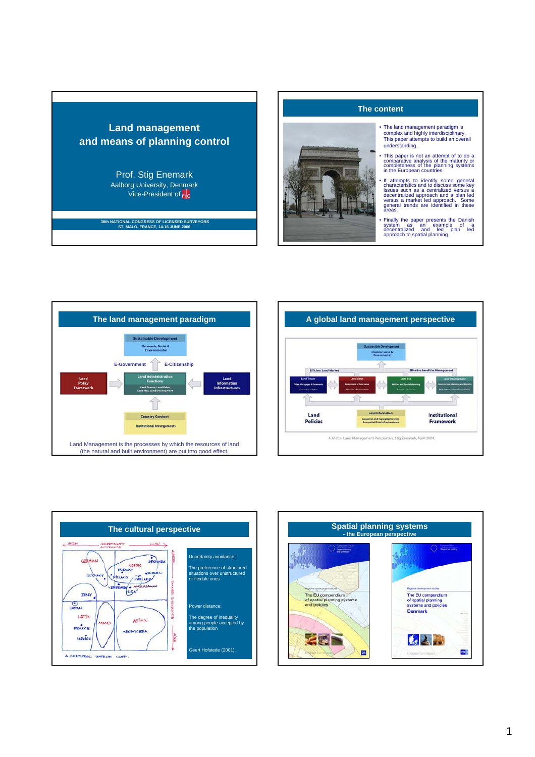# **Land management and means of planning control**

Prof. Stig Enemark Aalborg University, Denmark Vice-President of FIG

# **38th NATIONAL CONGRESS OF LICENSED SURVEYORS ST. MALO, FRANCE, 14-16 JUNE 2006**





- The land management paradigm is complex and highly interdisciplinary. This paper attempts to build an overall understanding.
- This paper is not an attempt of to do a comparative analysis of the maturity or completeness of the planning systems in the European countries.
- It attempts to identify some general<br>characteristics and to discuss some key<br>issues such as a centralized versus a<br>decentralized approach and a plan led<br>versus a market led approach. Some<br>general trends are identified in
- Finally the paper presents the Danish system as an example of a decentralized and led plan led approach to spatial planning.







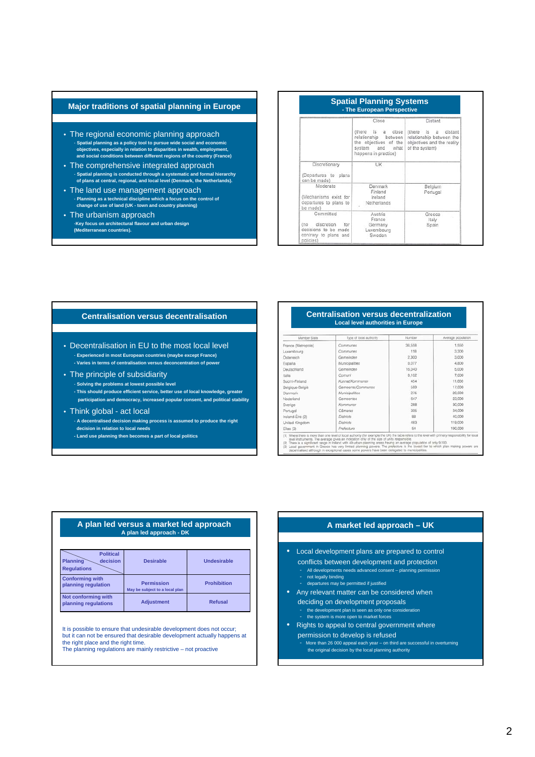# **Major traditions of spatial planning in Europe**

- The regional economic planning approach - **Spatial planning as a policy tool to pursue wide social and economic objectives, especially in relation to disparities in wealth, employment, and social conditions between different regions of the country (France)**
- The comprehensive integrated approach - **Spatial planning is conducted through a systematic and formal hierarchy of plans at central, regional, and local level (Denmark, the Netherlands).**
- The land use management approach - **Planning as a technical discipline which a focus on the control of change of use of land (UK - town and country planning)**
- The urbanism approach -**Key focus on architectural flavour and urban design (Mediterranean countries).**

|                                                                                                     | Close                                                                                                                                        | Distant                                                                                                     |
|-----------------------------------------------------------------------------------------------------|----------------------------------------------------------------------------------------------------------------------------------------------|-------------------------------------------------------------------------------------------------------------|
|                                                                                                     | (there)<br>is.<br>close<br>$\mathbf{a}$<br>relationship<br>between<br>the objectives of the<br>system<br>and<br>what<br>happens in practice) | distant<br>(there)<br>is .<br>a<br>relationship between the<br>objectives and the reality<br>of the system) |
| Discretionary<br>(Departures to plans<br>can be made)                                               | <b>UK</b>                                                                                                                                    |                                                                                                             |
| Moderate<br>(Mechanisms exist for<br>departures to plans to<br>be made)                             | Denmark<br>Finland<br>Ireland<br>Netherlands                                                                                                 | Belgium<br>Portugal                                                                                         |
| Committed<br>discretion<br>(no<br>for<br>decisions to be made<br>contrary to plans and<br>policies) | Austria<br>France<br>Germany<br>Luxembourg<br>Sweden                                                                                         | Greece<br>Italy<br>Spain                                                                                    |

- Decentralisation in EU to the most local level - **Experienced in most European countries (maybe except France) - Varies in terms of centralisation versus deconcentration of power**
- The principle of subsidiarity - **Solving the problems at lowest possible level - This should produce efficient service, better use of local knowledge, greater participation and democracy, increased popular consent, and political stability**
- Think global act local - **A decentralised decision making process is assumed to produce the right decision in relation to local needs - Land use planning then becomes a part of local politics**

### **Centralisation versus decentralisation Centralisation versus decentralization Local level authorities in Europe**

| Member State       | Type of local authority | Number | Average population |
|--------------------|-------------------------|--------|--------------------|
| France (Metropole) | Communes                | 36.558 | 1,550              |
| Luxembourg         | Communes                | 118    | 3,300              |
| Östermich          | Gemeinden               | 2,300  | 3,000              |
| España             | Municipalities          | 8.077  | 4,800              |
| Deutschland        | Gemeinden               | 16,040 | 5,000              |
| Italia             | Comuni                  | 8.102  | 7,000              |
| Suomi-Finland      | Kunnat/Kommuner         | 454    | 11,000             |
| Belgique-België    | Gemeente/Communes       | 589    | 17,000             |
| <b>Danmark</b>     | Municipalities          | 275    | 20,000             |
| Nederland          | Germeentes              | 647    | 23,000             |
| Sverige            | Kommuner                | 288    | 30,000             |
| Portugal           | Câmaras                 | 305    | 34,000             |
| Ireland-Eire (2)   | Districts               | 88     | 40,000             |
| United Kingdom     | <b>Districts</b>        | 483    | 119,000            |
| Ellas (3)          | Prefecture              | 54     | 190,000            |

### **A plan led versus a market led approach A plan led approach - DK**

| <b>Political</b><br><b>Planning</b><br>decision<br><b>Regulations</b> | <b>Desirable</b>                                    | Undesirable        |
|-----------------------------------------------------------------------|-----------------------------------------------------|--------------------|
| <b>Conforming with</b><br>planning regulation                         | <b>Permission</b><br>May be subject to a local plan | <b>Prohibition</b> |
| Not conforming with<br>planning regulations                           | <b>Adjustment</b>                                   | <b>Refusal</b>     |

It is possible to ensure that undesirable development does not occur; but it can not be ensured that desirable development actually happens at the right place and the right time.

The planning regulations are mainly restrictive – not proactive

# **A market led approach – UK**

- Local development plans are prepared to control conflicts between development and protection
	- All developments needs advanced consent planning permission - not legally binding
	- departures may be permitted if justified
- Any relevant matter can be considered when deciding on development proposals - the development plan is seen as only one consideration - the system is more open to market forces
- Rights to appeal to central government where permission to develop is refused
	- More than 26 000 appeal each year on third are successful in overturning the original decision by the local planning authority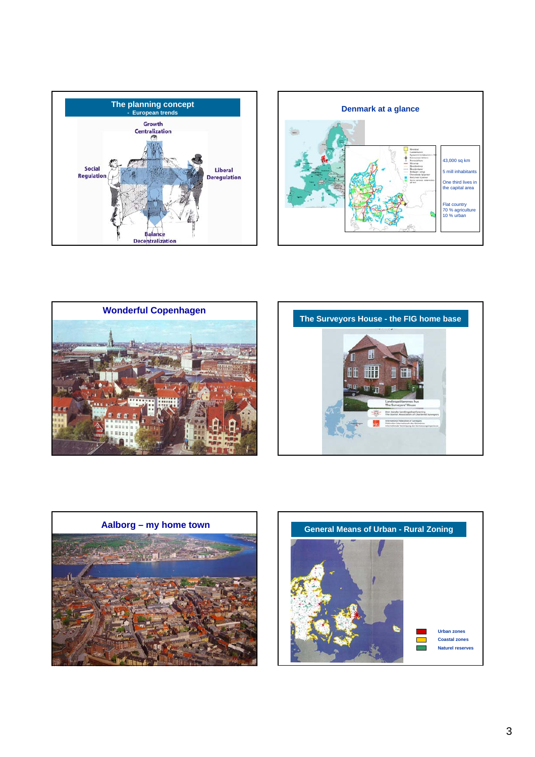









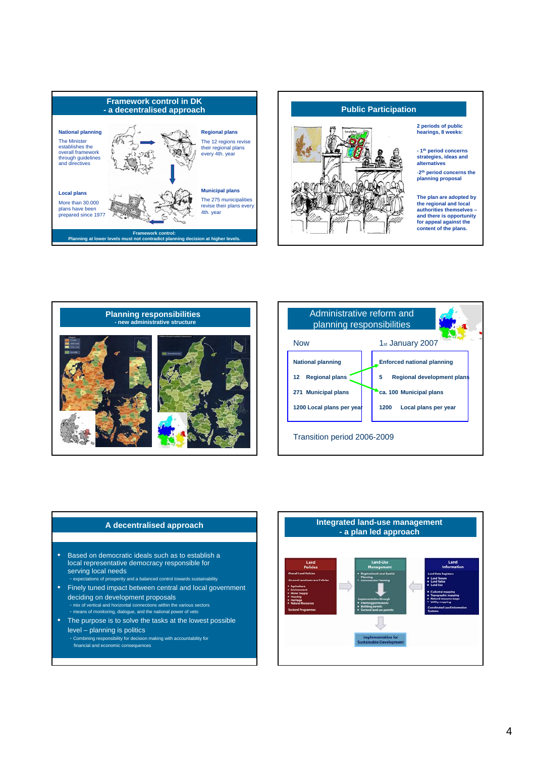



**2 periods of public hearings, 8 weeks:**

**- 1th period concerns strategies, ideas and** 

-**2th period concerns the planning proposal**

**The plan are adopted by the regional and local authorities themselves – and there is opportunity for appeal against the content of the plans.**





- Based on democratic ideals such as to establish a local representative democracy responsible for serving local needs
- expectations of prosperity and a balanced control towards sustainability • Finely tuned impact between central and local government
- deciding on development proposals - mix of vertical and horizontal connections within the various sectors - means of monitoring, dialogue, and the national power of veto
- The purpose is to solve the tasks at the lowest possible level – planning is politics - Combining responsibility for decision making with accountability for
	- financial and economic consequences